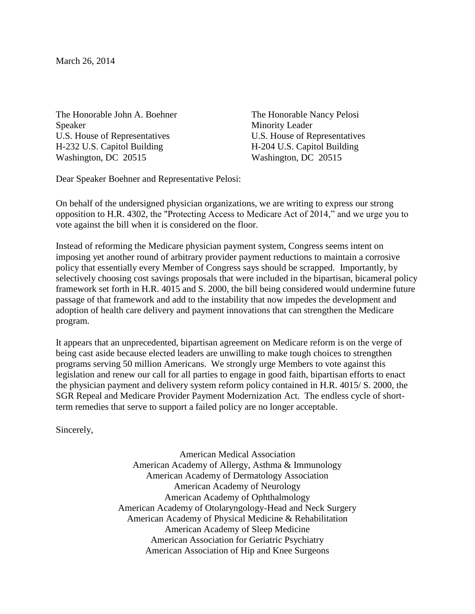March 26, 2014

The Honorable John A. Boehner Speaker U.S. House of Representatives H-232 U.S. Capitol Building Washington, DC 20515

The Honorable Nancy Pelosi Minority Leader U.S. House of Representatives H-204 U.S. Capitol Building Washington, DC 20515

Dear Speaker Boehner and Representative Pelosi:

On behalf of the undersigned physician organizations, we are writing to express our strong opposition to H.R. 4302, the "Protecting Access to Medicare Act of 2014," and we urge you to vote against the bill when it is considered on the floor.

Instead of reforming the Medicare physician payment system, Congress seems intent on imposing yet another round of arbitrary provider payment reductions to maintain a corrosive policy that essentially every Member of Congress says should be scrapped. Importantly, by selectively choosing cost savings proposals that were included in the bipartisan, bicameral policy framework set forth in H.R. 4015 and S. 2000, the bill being considered would undermine future passage of that framework and add to the instability that now impedes the development and adoption of health care delivery and payment innovations that can strengthen the Medicare program.

It appears that an unprecedented, bipartisan agreement on Medicare reform is on the verge of being cast aside because elected leaders are unwilling to make tough choices to strengthen programs serving 50 million Americans. We strongly urge Members to vote against this legislation and renew our call for all parties to engage in good faith, bipartisan efforts to enact the physician payment and delivery system reform policy contained in H.R. 4015/ S. 2000, the SGR Repeal and Medicare Provider Payment Modernization Act. The endless cycle of shortterm remedies that serve to support a failed policy are no longer acceptable.

Sincerely,

American Medical Association American Academy of Allergy, Asthma & Immunology American Academy of Dermatology Association American Academy of Neurology American Academy of Ophthalmology American Academy of Otolaryngology-Head and Neck Surgery American Academy of Physical Medicine & Rehabilitation American Academy of Sleep Medicine American Association for Geriatric Psychiatry American Association of Hip and Knee Surgeons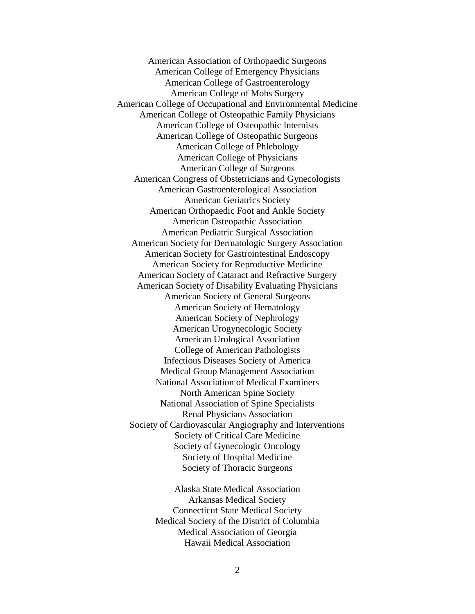American Association of Orthopaedic Surgeons American College of Emergency Physicians American College of Gastroenterology American College of Mohs Surgery American College of Occupational and Environmental Medicine American College of Osteopathic Family Physicians American College of Osteopathic Internists American College of Osteopathic Surgeons American College of Phlebology American College of Physicians American College of Surgeons American Congress of Obstetricians and Gynecologists American Gastroenterological Association American Geriatrics Society American Orthopaedic Foot and Ankle Society American Osteopathic Association American Pediatric Surgical Association American Society for Dermatologic Surgery Association American Society for Gastrointestinal Endoscopy American Society for Reproductive Medicine American Society of Cataract and Refractive Surgery American Society of Disability Evaluating Physicians American Society of General Surgeons American Society of Hematology American Society of Nephrology American Urogynecologic Society American Urological Association College of American Pathologists Infectious Diseases Society of America Medical Group Management Association National Association of Medical Examiners North American Spine Society National Association of Spine Specialists Renal Physicians Association Society of Cardiovascular Angiography and Interventions Society of Critical Care Medicine Society of Gynecologic Oncology Society of Hospital Medicine Society of Thoracic Surgeons

> Alaska State Medical Association Arkansas Medical Society Connecticut State Medical Society Medical Society of the District of Columbia Medical Association of Georgia Hawaii Medical Association